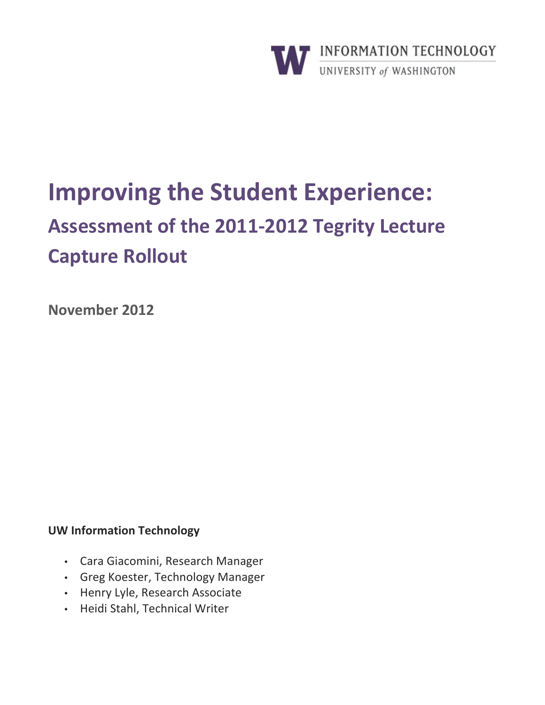

# **Improving the Student Experience:** Assessment of the 2011-2012 Tegrity Lecture **Capture Rollout**

November 2012

# **UW Information Technology**

- Cara Giacomini, Research Manager
- Greg Koester, Technology Manager
- Henry Lyle, Research Associate
- · Heidi Stahl, Technical Writer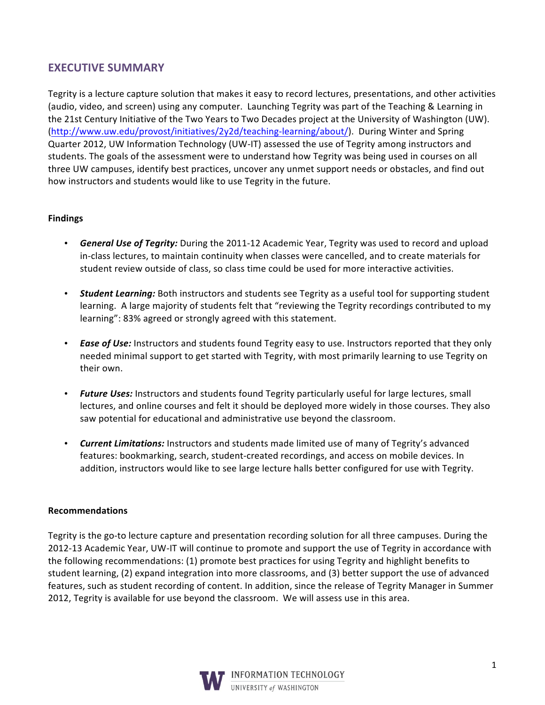# **EXECUTIVE SUMMARY**

Tegrity is a lecture capture solution that makes it easy to record lectures, presentations, and other activities (audio, video, and screen) using any computer. Launching Tegrity was part of the Teaching & Learning in the 21st Century Initiative of the Two Years to Two Decades project at the University of Washington (UW). (http://www.uw.edu/provost/initiatives/2y2d/teaching-learning/about/). During Winter and Spring Quarter 2012, UW Information Technology (UW-IT) assessed the use of Tegrity among instructors and students. The goals of the assessment were to understand how Tegrity was being used in courses on all three UW campuses, identify best practices, uncover any unmet support needs or obstacles, and find out how instructors and students would like to use Tegrity in the future.

## **Findings**

- General Use of Tegrity: During the 2011-12 Academic Year, Tegrity was used to record and upload in-class lectures, to maintain continuity when classes were cancelled, and to create materials for student review outside of class, so class time could be used for more interactive activities.
- **Student Learning:** Both instructors and students see Tegrity as a useful tool for supporting student learning. A large majority of students felt that "reviewing the Tegrity recordings contributed to my learning": 83% agreed or strongly agreed with this statement.
- Ease of Use: Instructors and students found Tegrity easy to use. Instructors reported that they only needed minimal support to get started with Tegrity, with most primarily learning to use Tegrity on their own.
- Future Uses: Instructors and students found Tegrity particularly useful for large lectures, small lectures, and online courses and felt it should be deployed more widely in those courses. They also saw potential for educational and administrative use beyond the classroom.
- Current Limitations: Instructors and students made limited use of many of Tegrity's advanced features: bookmarking, search, student-created recordings, and access on mobile devices. In addition, instructors would like to see large lecture halls better configured for use with Tegrity.

#### **Recommendations**

Tegrity is the go-to lecture capture and presentation recording solution for all three campuses. During the 2012-13 Academic Year, UW-IT will continue to promote and support the use of Tegrity in accordance with the following recommendations: (1) promote best practices for using Tegrity and highlight benefits to student learning, (2) expand integration into more classrooms, and (3) better support the use of advanced features, such as student recording of content. In addition, since the release of Tegrity Manager in Summer 2012, Tegrity is available for use beyond the classroom. We will assess use in this area.

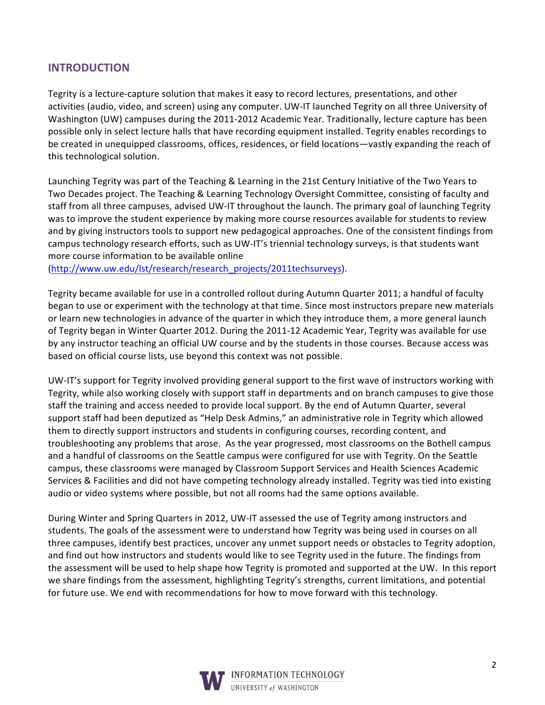## **INTRODUCTION**

Tegrity is a lecture-capture solution that makes it easy to record lectures, presentations, and other activities (audio, video, and screen) using any computer. UW-IT launched Tegrity on all three University of Washington (UW) campuses during the 2011-2012 Academic Year. Traditionally, lecture capture has been possible only in select lecture halls that have recording equipment installed. Tegrity enables recordings to be created in unequipped classrooms, offices, residences, or field locations—vastly expanding the reach of this technological solution.

Launching Tegrity was part of the Teaching & Learning in the 21st Century Initiative of the Two Years to Two Decades project. The Teaching & Learning Technology Oversight Committee, consisting of faculty and staff from all three campuses, advised UW-IT throughout the launch. The primary goal of launching Tegrity was to improve the student experience by making more course resources available for students to review and by giving instructors tools to support new pedagogical approaches. One of the consistent findings from campus technology research efforts, such as UW-IT's triennial technology surveys, is that students want more course information to be available online

(http://www.uw.edu/lst/research/research projects/2011techsurveys).

Tegrity became available for use in a controlled rollout during Autumn Quarter 2011; a handful of faculty began to use or experiment with the technology at that time. Since most instructors prepare new materials or learn new technologies in advance of the quarter in which they introduce them, a more general launch of Tegrity began in Winter Quarter 2012. During the 2011-12 Academic Year, Tegrity was available for use by any instructor teaching an official UW course and by the students in those courses. Because access was based on official course lists, use beyond this context was not possible.

UW-IT's support for Tegrity involved providing general support to the first wave of instructors working with Tegrity, while also working closely with support staff in departments and on branch campuses to give those staff the training and access needed to provide local support. By the end of Autumn Quarter, several support staff had been deputized as "Help Desk Admins," an administrative role in Tegrity which allowed them to directly support instructors and students in configuring courses, recording content, and troubleshooting any problems that arose. As the year progressed, most classrooms on the Bothell campus and a handful of classrooms on the Seattle campus were configured for use with Tegrity. On the Seattle campus, these classrooms were managed by Classroom Support Services and Health Sciences Academic Services & Facilities and did not have competing technology already installed. Tegrity was tied into existing audio or video systems where possible, but not all rooms had the same options available.

During Winter and Spring Quarters in 2012, UW-IT assessed the use of Tegrity among instructors and students. The goals of the assessment were to understand how Tegrity was being used in courses on all three campuses, identify best practices, uncover any unmet support needs or obstacles to Tegrity adoption, and find out how instructors and students would like to see Tegrity used in the future. The findings from the assessment will be used to help shape how Tegrity is promoted and supported at the UW. In this report we share findings from the assessment, highlighting Tegrity's strengths, current limitations, and potential for future use. We end with recommendations for how to move forward with this technology.

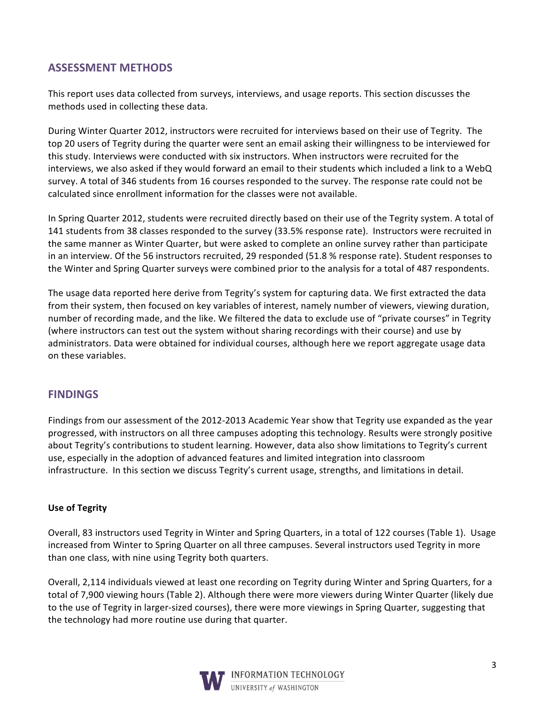# **ASSESSMENT METHODS**

This report uses data collected from surveys, interviews, and usage reports. This section discusses the methods used in collecting these data.

During Winter Quarter 2012, instructors were recruited for interviews based on their use of Tegrity. The top 20 users of Tegrity during the quarter were sent an email asking their willingness to be interviewed for this study. Interviews were conducted with six instructors. When instructors were recruited for the interviews, we also asked if they would forward an email to their students which included a link to a WebQ survey. A total of 346 students from 16 courses responded to the survey. The response rate could not be calculated since enrollment information for the classes were not available.

In Spring Quarter 2012, students were recruited directly based on their use of the Tegrity system. A total of 141 students from 38 classes responded to the survey (33.5% response rate). Instructors were recruited in the same manner as Winter Quarter, but were asked to complete an online survey rather than participate in an interview. Of the 56 instructors recruited, 29 responded (51.8 % response rate). Student responses to the Winter and Spring Quarter surveys were combined prior to the analysis for a total of 487 respondents.

The usage data reported here derive from Tegrity's system for capturing data. We first extracted the data from their system, then focused on key variables of interest, namely number of viewers, viewing duration, number of recording made, and the like. We filtered the data to exclude use of "private courses" in Tegrity (where instructors can test out the system without sharing recordings with their course) and use by administrators. Data were obtained for individual courses, although here we report aggregate usage data on these variables.

# **FINDINGS**

Findings from our assessment of the 2012-2013 Academic Year show that Tegrity use expanded as the year progressed, with instructors on all three campuses adopting this technology. Results were strongly positive about Tegrity's contributions to student learning. However, data also show limitations to Tegrity's current use, especially in the adoption of advanced features and limited integration into classroom infrastructure. In this section we discuss Tegrity's current usage, strengths, and limitations in detail.

#### **Use of Tegrity**

Overall, 83 instructors used Tegrity in Winter and Spring Quarters, in a total of 122 courses (Table 1). Usage increased from Winter to Spring Quarter on all three campuses. Several instructors used Tegrity in more than one class, with nine using Tegrity both quarters.

Overall, 2,114 individuals viewed at least one recording on Tegrity during Winter and Spring Quarters, for a total of 7,900 viewing hours (Table 2). Although there were more viewers during Winter Quarter (likely due to the use of Tegrity in larger-sized courses), there were more viewings in Spring Quarter, suggesting that the technology had more routine use during that quarter.

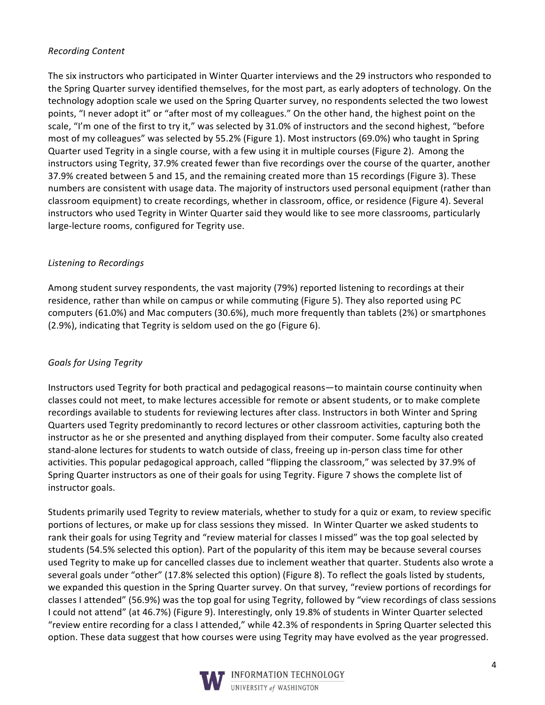## **Recording Content**

The six instructors who participated in Winter Quarter interviews and the 29 instructors who responded to the Spring Quarter survey identified themselves, for the most part, as early adopters of technology. On the technology adoption scale we used on the Spring Quarter survey, no respondents selected the two lowest points, "I never adopt it" or "after most of my colleagues." On the other hand, the highest point on the scale, "I'm one of the first to try it," was selected by 31.0% of instructors and the second highest, "before most of my colleagues" was selected by 55.2% (Figure 1). Most instructors (69.0%) who taught in Spring Quarter used Tegrity in a single course, with a few using it in multiple courses (Figure 2). Among the instructors using Tegrity, 37.9% created fewer than five recordings over the course of the quarter, another 37.9% created between 5 and 15, and the remaining created more than 15 recordings (Figure 3). These numbers are consistent with usage data. The majority of instructors used personal equipment (rather than classroom equipment) to create recordings, whether in classroom, office, or residence (Figure 4). Several instructors who used Tegrity in Winter Quarter said they would like to see more classrooms, particularly large-lecture rooms, configured for Tegrity use.

#### Listening to Recordings

Among student survey respondents, the vast majority (79%) reported listening to recordings at their residence, rather than while on campus or while commuting (Figure 5). They also reported using PC computers (61.0%) and Mac computers (30.6%), much more frequently than tablets (2%) or smartphones (2.9%), indicating that Tegrity is seldom used on the go (Figure 6).

## **Goals for Using Tegrity**

Instructors used Tegrity for both practical and pedagogical reasons—to maintain course continuity when classes could not meet, to make lectures accessible for remote or absent students, or to make complete recordings available to students for reviewing lectures after class. Instructors in both Winter and Spring Quarters used Tegrity predominantly to record lectures or other classroom activities, capturing both the instructor as he or she presented and anything displayed from their computer. Some faculty also created stand-alone lectures for students to watch outside of class, freeing up in-person class time for other activities. This popular pedagogical approach, called "flipping the classroom," was selected by 37.9% of Spring Quarter instructors as one of their goals for using Tegrity. Figure 7 shows the complete list of instructor goals.

Students primarily used Tegrity to review materials, whether to study for a quiz or exam, to review specific portions of lectures, or make up for class sessions they missed. In Winter Quarter we asked students to rank their goals for using Tegrity and "review material for classes I missed" was the top goal selected by students (54.5% selected this option). Part of the popularity of this item may be because several courses used Tegrity to make up for cancelled classes due to inclement weather that quarter. Students also wrote a several goals under "other" (17.8% selected this option) (Figure 8). To reflect the goals listed by students, we expanded this question in the Spring Quarter survey. On that survey, "review portions of recordings for classes I attended" (56.9%) was the top goal for using Tegrity, followed by "view recordings of class sessions I could not attend" (at 46.7%) (Figure 9). Interestingly, only 19.8% of students in Winter Quarter selected "review entire recording for a class I attended," while 42.3% of respondents in Spring Quarter selected this option. These data suggest that how courses were using Tegrity may have evolved as the year progressed.

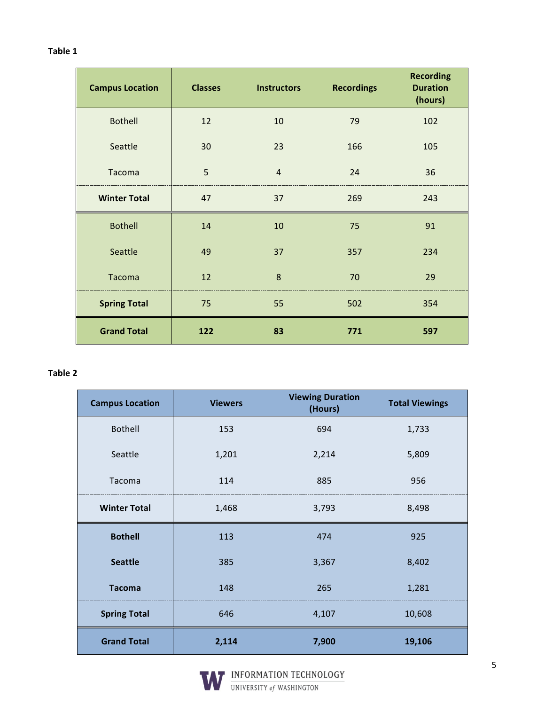#### Table 1

| <b>Campus Location</b> | <b>Classes</b> | <b>Instructors</b> | <b>Recordings</b> | <b>Recording</b><br><b>Duration</b><br>(hours) |
|------------------------|----------------|--------------------|-------------------|------------------------------------------------|
| <b>Bothell</b>         | 12             | 10                 | 79                | 102                                            |
| Seattle                | 30             | 23                 | 166               | 105                                            |
| Tacoma                 | 5              | $\overline{4}$     | 24                | 36                                             |
| <b>Winter Total</b>    | 47             | 37                 | 269               | 243                                            |
| <b>Bothell</b>         | 14             | 10                 | 75                | 91                                             |
| Seattle                | 49             | 37                 | 357               | 234                                            |
| Tacoma                 | 12             | 8                  | 70                | 29                                             |
| <b>Spring Total</b>    | 75             | 55                 | 502               | 354                                            |
| <b>Grand Total</b>     | 122            | 83                 | 771               | 597                                            |

## Table 2

| <b>Campus Location</b> | <b>Viewers</b> | <b>Viewing Duration</b><br>(Hours) | <b>Total Viewings</b> |
|------------------------|----------------|------------------------------------|-----------------------|
| <b>Bothell</b>         | 153            | 694                                | 1,733                 |
| Seattle                | 1,201          | 2,214                              | 5,809                 |
| Tacoma                 | 114            | 885                                | 956                   |
| <b>Winter Total</b>    | 1,468          | 3,793                              | 8,498                 |
| <b>Bothell</b>         | 113            | 474                                | 925                   |
| <b>Seattle</b>         | 385            | 3,367                              | 8,402                 |
| <b>Tacoma</b>          | 148            | 265                                | 1,281                 |
| <b>Spring Total</b>    | 646            | 4,107                              | 10,608                |
| <b>Grand Total</b>     | 2,114          | 7,900                              | 19,106                |

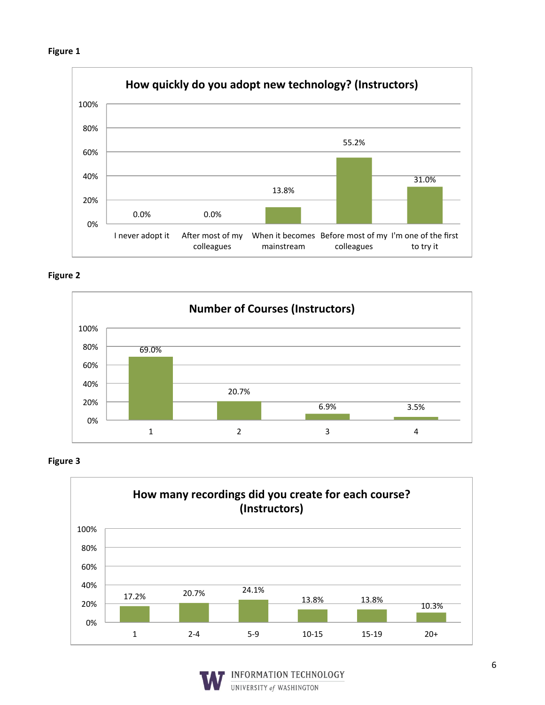







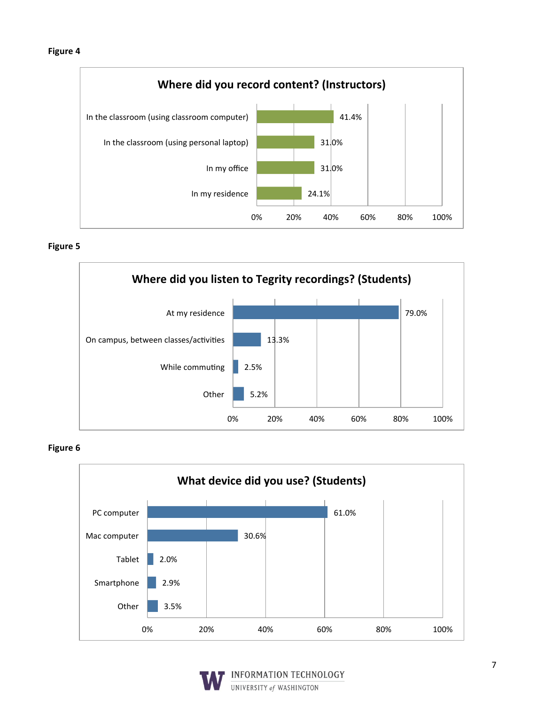





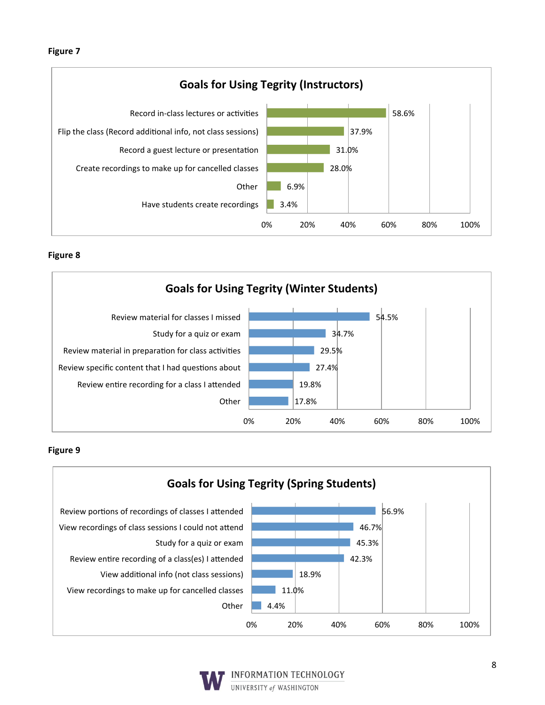





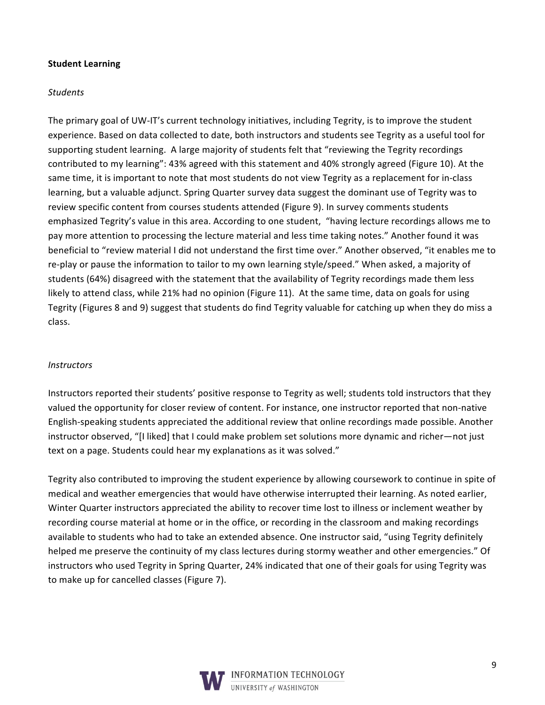#### **Student Learning**

#### **Students**

The primary goal of UW-IT's current technology initiatives, including Tegrity, is to improve the student experience. Based on data collected to date, both instructors and students see Tegrity as a useful tool for supporting student learning. A large majority of students felt that "reviewing the Tegrity recordings contributed to my learning": 43% agreed with this statement and 40% strongly agreed (Figure 10). At the same time, it is important to note that most students do not view Tegrity as a replacement for in-class learning, but a valuable adjunct. Spring Quarter survey data suggest the dominant use of Tegrity was to review specific content from courses students attended (Figure 9). In survey comments students emphasized Tegrity's value in this area. According to one student, "having lecture recordings allows me to pay more attention to processing the lecture material and less time taking notes." Another found it was beneficial to "review material I did not understand the first time over." Another observed, "it enables me to re-play or pause the information to tailor to my own learning style/speed." When asked, a majority of students (64%) disagreed with the statement that the availability of Tegrity recordings made them less likely to attend class, while 21% had no opinion (Figure 11). At the same time, data on goals for using Tegrity (Figures 8 and 9) suggest that students do find Tegrity valuable for catching up when they do miss a class.

#### Instructors

Instructors reported their students' positive response to Tegrity as well; students told instructors that they valued the opportunity for closer review of content. For instance, one instructor reported that non-native English-speaking students appreciated the additional review that online recordings made possible. Another instructor observed, "[I liked] that I could make problem set solutions more dynamic and richer—not just text on a page. Students could hear my explanations as it was solved."

Tegrity also contributed to improving the student experience by allowing coursework to continue in spite of medical and weather emergencies that would have otherwise interrupted their learning. As noted earlier, Winter Quarter instructors appreciated the ability to recover time lost to illness or inclement weather by recording course material at home or in the office, or recording in the classroom and making recordings available to students who had to take an extended absence. One instructor said, "using Tegrity definitely helped me preserve the continuity of my class lectures during stormy weather and other emergencies." Of instructors who used Tegrity in Spring Quarter, 24% indicated that one of their goals for using Tegrity was to make up for cancelled classes (Figure 7).

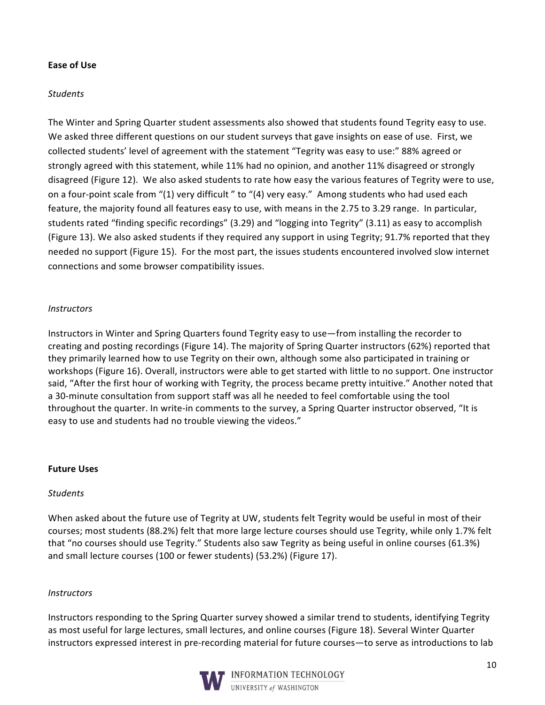#### **Ease of Use**

#### **Students**

The Winter and Spring Quarter student assessments also showed that students found Tegrity easy to use. We asked three different questions on our student surveys that gave insights on ease of use. First, we collected students' level of agreement with the statement "Tegrity was easy to use:" 88% agreed or strongly agreed with this statement, while 11% had no opinion, and another 11% disagreed or strongly disagreed (Figure 12). We also asked students to rate how easy the various features of Tegrity were to use, on a four-point scale from "(1) very difficult " to "(4) very easy." Among students who had used each feature, the majority found all features easy to use, with means in the 2.75 to 3.29 range. In particular, students rated "finding specific recordings" (3.29) and "logging into Tegrity" (3.11) as easy to accomplish (Figure 13). We also asked students if they required any support in using Tegrity; 91.7% reported that they needed no support (Figure 15). For the most part, the issues students encountered involved slow internet connections and some browser compatibility issues.

#### **Instructors**

Instructors in Winter and Spring Quarters found Tegrity easy to use—from installing the recorder to creating and posting recordings (Figure 14). The majority of Spring Quarter instructors (62%) reported that they primarily learned how to use Tegrity on their own, although some also participated in training or workshops (Figure 16). Overall, instructors were able to get started with little to no support. One instructor said, "After the first hour of working with Tegrity, the process became pretty intuitive." Another noted that a 30-minute consultation from support staff was all he needed to feel comfortable using the tool throughout the quarter. In write-in comments to the survey, a Spring Quarter instructor observed, "It is easy to use and students had no trouble viewing the videos."

#### **Future Uses**

#### **Students**

When asked about the future use of Tegrity at UW, students felt Tegrity would be useful in most of their courses; most students (88.2%) felt that more large lecture courses should use Tegrity, while only 1.7% felt that "no courses should use Tegrity." Students also saw Tegrity as being useful in online courses (61.3%) and small lecture courses (100 or fewer students) (53.2%) (Figure 17).

#### **Instructors**

Instructors responding to the Spring Quarter survey showed a similar trend to students, identifying Tegrity as most useful for large lectures, small lectures, and online courses (Figure 18). Several Winter Quarter instructors expressed interest in pre-recording material for future courses-to serve as introductions to lab

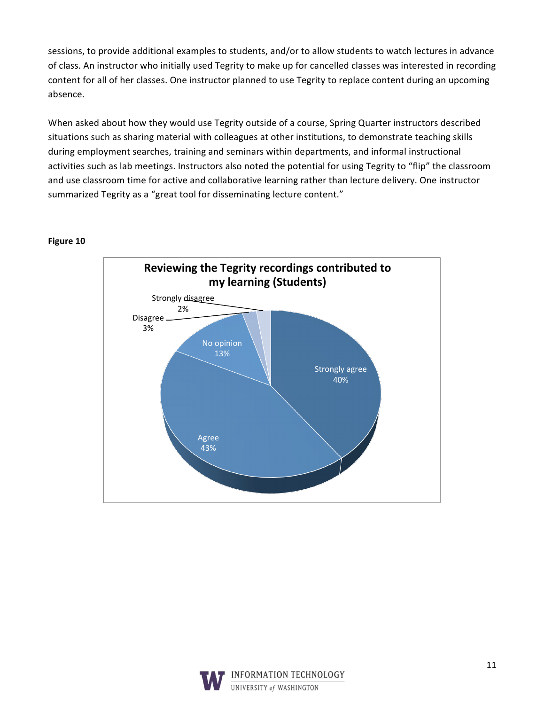sessions, to provide additional examples to students, and/or to allow students to watch lectures in advance of class. An instructor who initially used Tegrity to make up for cancelled classes was interested in recording content for all of her classes. One instructor planned to use Tegrity to replace content during an upcoming absence.

When asked about how they would use Tegrity outside of a course, Spring Quarter instructors described situations such as sharing material with colleagues at other institutions, to demonstrate teaching skills during employment searches, training and seminars within departments, and informal instructional activities such as lab meetings. Instructors also noted the potential for using Tegrity to "flip" the classroom and use classroom time for active and collaborative learning rather than lecture delivery. One instructor summarized Tegrity as a "great tool for disseminating lecture content."



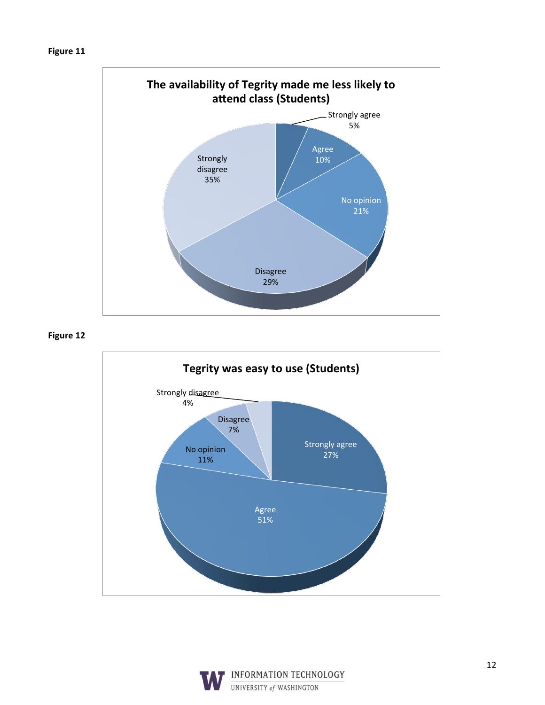

Figure 12



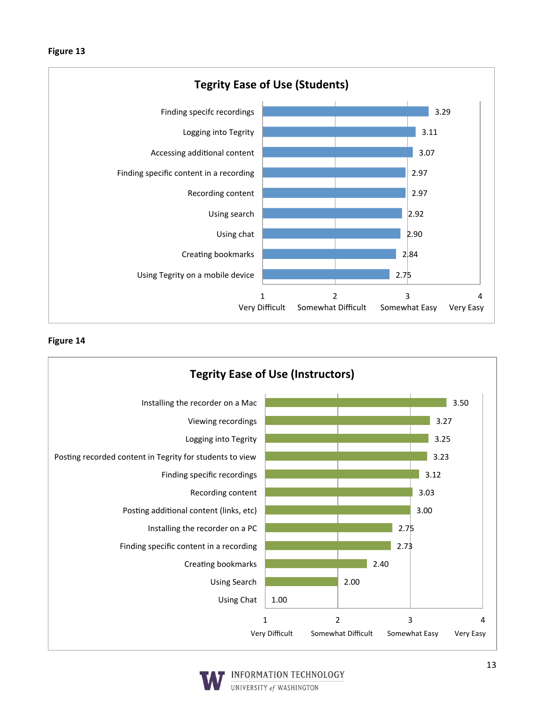



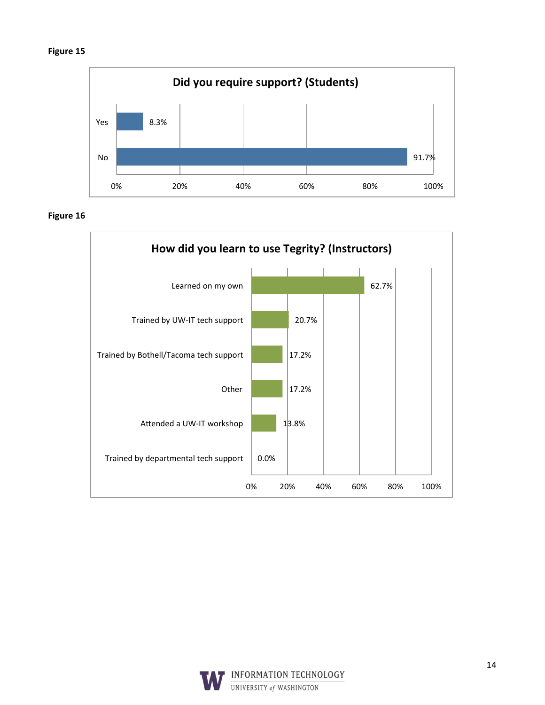

Figure 16



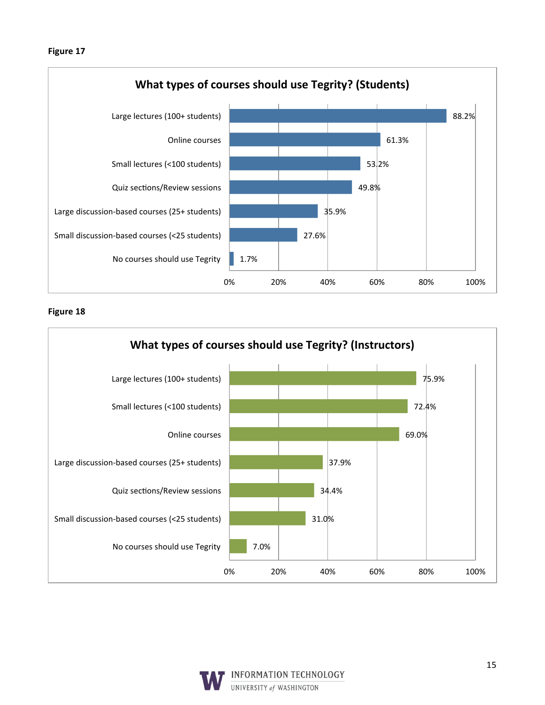



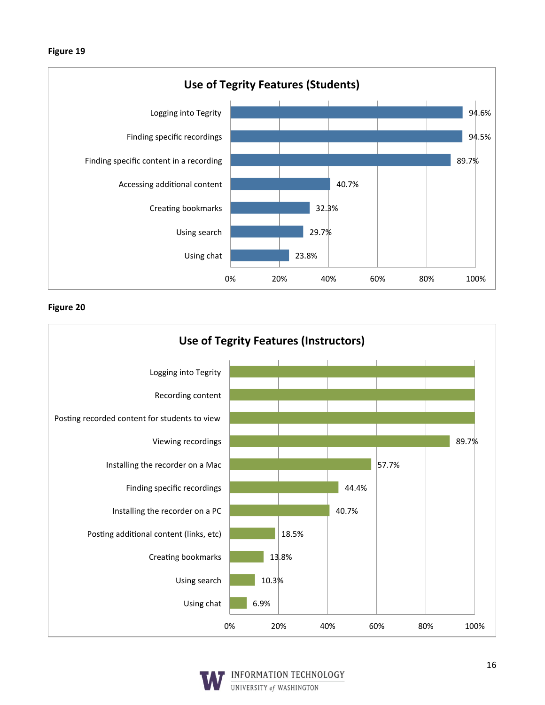



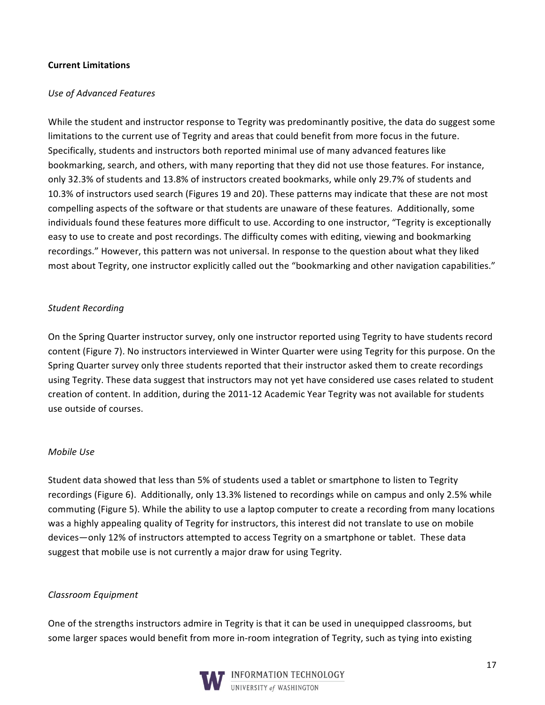#### **Current Limitations**

#### **Use of Advanced Features**

While the student and instructor response to Tegrity was predominantly positive, the data do suggest some limitations to the current use of Tegrity and areas that could benefit from more focus in the future. Specifically, students and instructors both reported minimal use of many advanced features like bookmarking, search, and others, with many reporting that they did not use those features. For instance, only 32.3% of students and 13.8% of instructors created bookmarks, while only 29.7% of students and 10.3% of instructors used search (Figures 19 and 20). These patterns may indicate that these are not most compelling aspects of the software or that students are unaware of these features. Additionally, some individuals found these features more difficult to use. According to one instructor, "Tegrity is exceptionally easy to use to create and post recordings. The difficulty comes with editing, viewing and bookmarking recordings." However, this pattern was not universal. In response to the question about what they liked most about Tegrity, one instructor explicitly called out the "bookmarking and other navigation capabilities."

#### **Student Recording**

On the Spring Quarter instructor survey, only one instructor reported using Tegrity to have students record content (Figure 7). No instructors interviewed in Winter Quarter were using Tegrity for this purpose. On the Spring Quarter survey only three students reported that their instructor asked them to create recordings using Tegrity. These data suggest that instructors may not yet have considered use cases related to student creation of content. In addition, during the 2011-12 Academic Year Tegrity was not available for students use outside of courses.

#### Mobile Use

Student data showed that less than 5% of students used a tablet or smartphone to listen to Tegrity recordings (Figure 6). Additionally, only 13.3% listened to recordings while on campus and only 2.5% while commuting (Figure 5). While the ability to use a laptop computer to create a recording from many locations was a highly appealing quality of Tegrity for instructors, this interest did not translate to use on mobile devices—only 12% of instructors attempted to access Tegrity on a smartphone or tablet. These data suggest that mobile use is not currently a major draw for using Tegrity.

#### Classroom Equipment

One of the strengths instructors admire in Tegrity is that it can be used in unequipped classrooms, but some larger spaces would benefit from more in-room integration of Tegrity, such as tying into existing